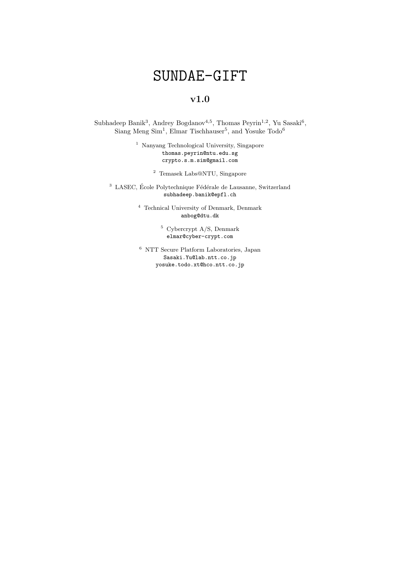# SUNDAE-GIFT

# v1.0

Subhadeep Banik<sup>3</sup>, Andrey Bogdanov<sup>4,5</sup>, Thomas Peyrin<sup>1,2</sup>, Yu Sasaki<sup>6</sup>, Siang Meng Sim<sup>1</sup>, Elmar Tischhauser<sup>5</sup>, and Yosuke Todo<sup>6</sup>

> <sup>1</sup> Nanyang Technological University, Singapore thomas.peyrin@ntu.edu.sg crypto.s.m.sim@gmail.com

> > <sup>2</sup> Temasek Labs@NTU, Singapore

 $^3$  LASEC, École Polytechnique Fédérale de Lausanne, Switzerland subhadeep.banik@epfl.ch

> <sup>4</sup> Technical University of Denmark, Denmark anbog@dtu.dk

> > <sup>5</sup> Cybercrypt A/S, Denmark elmar@cyber-crypt.com

 $^{\rm 6}$  NTT Secure Platform Laboratories, Japan Sasaki.Yu@lab.ntt.co.jp yosuke.todo.xt@hco.ntt.co.jp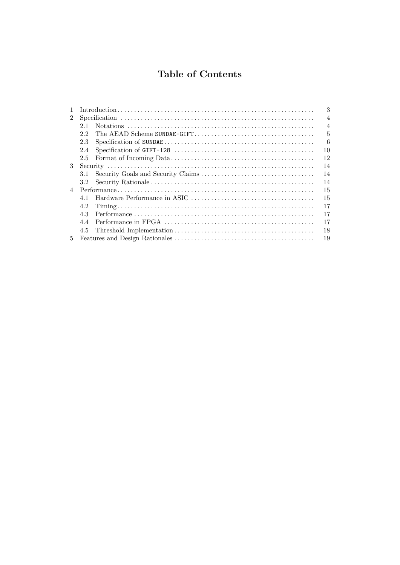# Table of Contents

|                |                  | 3              |
|----------------|------------------|----------------|
| $\overline{2}$ |                  | $\overline{4}$ |
|                | 2.1              | $\overline{4}$ |
|                | 22               | 5              |
|                | 2.3              | 6              |
|                | 2.4              | 10             |
|                | 2.5              | 12             |
| 3              |                  | 14             |
|                | 3.1              | 14             |
|                | 3.2 <sub>1</sub> | 14             |
| $\overline{4}$ |                  | 15             |
|                | 41               | 15             |
|                | 4.2              | 17             |
|                | 4.3              | 17             |
|                | 4.4              | 17             |
|                | 4.5              | 18             |
| 5.             |                  | 19             |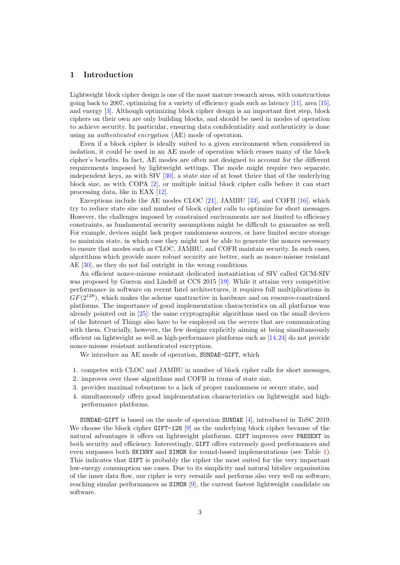#### <span id="page-2-0"></span>1 Introduction

Lightweight block cipher design is one of the most mature research areas, with constructions going back to 2007, optimizing for a variety of efficiency goals such as latency  $[11]$ , area  $[15]$ , and energy [\[3\]](#page-19-0). Although optimizing block cipher design is an important first step, block ciphers on their own are only building blocks, and should be used in modes of operation to achieve security. In particular, ensuring data confidentiality and authenticity is done using an authenticated encryption (AE) mode of operation.

Even if a block cipher is ideally suited to a given environment when considered in isolation, it could be used in an AE mode of operation which erases many of the block cipher's benefits. In fact, AE modes are often not designed to account for the different requirements imposed by lightweight settings. The mode might require two separate, independent keys, as with SIV [\[30\]](#page-21-0), a state size of at least thrice that of the underlying block size, as with COPA [\[2\]](#page-19-1), or multiple initial block cipher calls before it can start processing data, like in EAX [\[12\]](#page-20-2).

Exceptions include the AE modes CLOC [\[21\]](#page-20-3), JAMBU [\[33\]](#page-21-1), and COFB [\[16\]](#page-20-4), which try to reduce state size and number of block cipher calls to optimize for short messages. However, the challenges imposed by constrained environments are not limited to efficiency constraints, as fundamental security assumptions might be difficult to guarantee as well. For example, devices might lack proper randomness sources, or have limited secure storage to maintain state, in which case they might not be able to generate the nonces necessary to ensure that modes such as CLOC, JAMBU, and COFB maintain security. In such cases, algorithms which provide more robust security are better, such as nonce-misuse resistant AE [\[30\]](#page-21-0), as they do not fail outright in the wrong conditions.

An efficient nonce-misuse resistant dedicated instantiation of SIV called GCM-SIV was proposed by Gueron and Lindell at CCS 2015 [\[19\]](#page-20-5). While it attains very competitive performance in software on recent Intel architectures, it requires full multiplications in  $GF(2^{128})$ , which makes the scheme unattractive in hardware and on resource-constrained platforms. The importance of good implementation characteristics on all platforms was already pointed out in [\[25\]](#page-20-6): the same cryptographic algorithms used on the small devices of the Internet of Things also have to be employed on the servers that are communicating with them. Crucially, however, the few designs explicitly aiming at being simultaneously efficient on lightweight as well as high-performance platforms such as [\[14,](#page-20-7)[24\]](#page-20-8) do not provide nonce-misuse resistant authenticated encryption.

We introduce an AE mode of operation, SUNDAE-GIFT, which

- 1. competes with CLOC and JAMBU in number of block cipher calls for short messages,
- 2. improves over those algorithms and COFB in terms of state size,
- 3. provides maximal robustness to a lack of proper randomness or secure state, and
- 4. simultaneously offers good implementation characteristics on lightweight and highperformance platforms.

SUNDAE-GIFT is based on the mode of operation SUNDAE [\[4\]](#page-19-2), introduced in ToSC 2019. We choose the block cipher GIFT-128 [\[9\]](#page-19-3) as the underlying block cipher because of the natural advantages it offers on lightweight platforms. GIFT improves over PRESENT in both security and efficiency. Interestingly, GIFT offers extremely good performances and even surpasses both SKINNY and SIMON for round-based implementations (see Table [1\)](#page-3-2). This indicates that GIFT is probably the cipher the most suited for the very important low-energy consumption use cases. Due to its simplicity and natural bitslice organisation of the inner data flow, our cipher is very versatile and performs also very well on software, reaching similar performances as SIMON [\[9\]](#page-19-3), the current fastest lightweight candidate on software.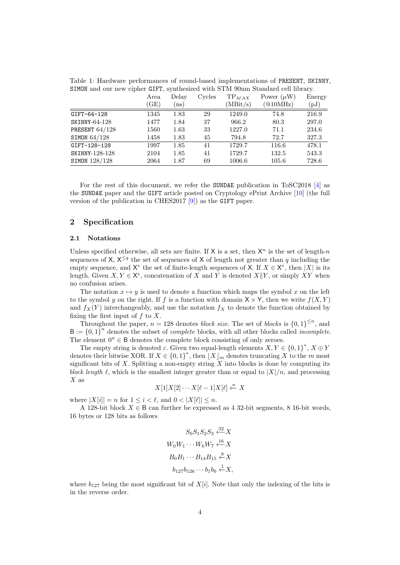<span id="page-3-2"></span>Table 1: Hardware performances of round-based implementations of PRESENT, SKINNY, SIMON and our new cipher GIFT, synthesized with STM 90nm Standard cell library.

|                | Area<br>(GE) | Delay<br>(ns) | Cycles | $TP_{MAX}$<br>(MBit/s) | Power $(\mu W)$<br>(@10MHz) | Energy<br>(pJ) |
|----------------|--------------|---------------|--------|------------------------|-----------------------------|----------------|
| GIFT-64-128    | 1345         | 1.83          | 29     | 1249.0                 | 74.8                        | 216.9          |
| SKINNY-64-128  | 1477         | 1.84          | 37     | 966.2                  | 80.3                        | 297.0          |
| PRESENT 64/128 | 1560         | 1.63          | 33     | 1227.0                 | 71.1                        | 234.6          |
| SIMON 64/128   | 1458         | 1.83          | 45     | 794.8                  | 72.7                        | 327.3          |
| GIFT-128-128   | 1997         | 1.85          | 41     | 1729.7                 | 116.6                       | 478.1          |
| SKINNY-128-128 | 2104         | 1.85          | 41     | 1729.7                 | 132.5                       | 543.3          |
| SIMON 128/128  | 2064         | 1.87          | 69     | 1006.6                 | 105.6                       | 728.6          |

For the rest of this document, we refer the SUNDAE publication in ToSC2018 [\[4\]](#page-19-2) as the SUNDAE paper and the GIFT article posted on Cryptology ePrint Archive [\[10\]](#page-19-4) (the full version of the publication in CHES2017 [\[9\]](#page-19-3)) as the GIFT paper.

#### <span id="page-3-0"></span>2 Specification

#### <span id="page-3-1"></span>2.1 Notations

Unless specified otherwise, all sets are finite. If  $X$  is a set, then  $X^n$  is the set of length-n sequences of X,  $X^{\leq q}$  the set of sequences of X of length not greater than q including the empty sequence, and  $X^*$  the set of finite-length sequences of X. If  $X \in X^*$ , then |X| is its length. Given  $X, Y \in \mathsf{X}^*$ , concatenation of X and Y is denoted  $X||Y$ , or simply XY when no confusion arises.

The notation  $x \mapsto y$  is used to denote a function which maps the symbol x on the left to the symbol y on the right. If f is a function with domain  $X \times Y$ , then we write  $f(X, Y)$ and  $f_X(Y)$  interchangeably, and use the notation  $f_X$  to denote the function obtained by fixing the first input of  $f$  to  $X$ .

Throughout the paper,  $n = 128$  denotes *block size*. The set of *blocks* is  $\{0, 1\}^{\leq n}$ , and  $B := \{0,1\}^n$  denotes the subset of *complete* blocks, with all other blocks called *incomplete*. The element  $0^n \in \mathsf{B}$  denotes the complete block consisting of only zeroes.

The empty string is denoted  $\varepsilon$ . Given two equal-length elements  $X, Y \in \{0,1\}^*, X \oplus Y$ denotes their bitwise XOR. If  $X \in \{0,1\}^*$ , then  $\lfloor X \rfloor_m$  denotes truncating X to the m most significant bits of  $X$ . Splitting a non-empty string  $X$  into blocks is done by computing its block length  $\ell$ , which is the smallest integer greater than or equal to  $|X|/n$ , and processing  $X$  as

$$
X[1]X[2]\cdots X[\ell-1]X[\ell] \xleftarrow{n} X
$$

where  $|X[i]| = n$  for  $1 \leq i \leq \ell$ , and  $0 \leq |X[\ell]| \leq n$ .

A 128-bit block  $X \in \mathsf{B}$  can further be expressed as 4 32-bit segments, 8 16-bit words, 16 bytes or 128 bits as follows

$$
S_0 S_1 S_2 S_3 \xleftarrow{32} X
$$
  
\n
$$
W_0 W_1 \cdots W_6 W_7 \xleftarrow{16} X
$$
  
\n
$$
B_0 B_1 \cdots B_{14} B_{15} \xleftarrow{8} X
$$
  
\n
$$
b_{127} b_{126} \cdots b_1 b_0 \xleftarrow{1} X,
$$

where  $b_{127}$  being the most significant bit of  $X[i]$ . Note that only the indexing of the bits is in the reverse order.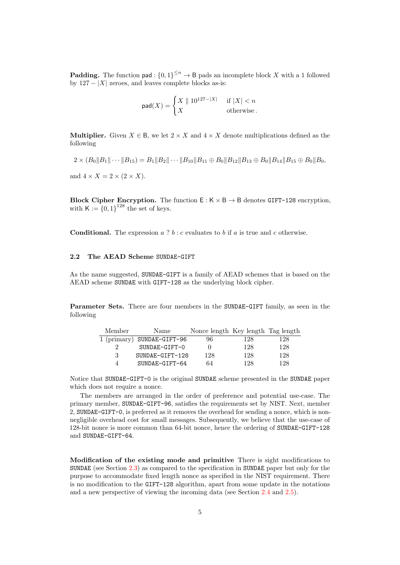**Padding.** The function pad :  $\{0,1\}^{\leq n} \to \mathsf{B}$  pads an incomplete block X with a 1 followed by  $127 - |X|$  zeroes, and leaves complete blocks as-is:

$$
\operatorname{pad}(X) = \begin{cases} X \parallel 10^{127 - |X|} & \text{if } |X| < n \\ X & \text{otherwise} \end{cases}
$$

**Multiplier.** Given  $X \in \mathsf{B}$ , we let  $2 \times X$  and  $4 \times X$  denote multiplications defined as the following

$$
2 \times (B_0 \|B_1\| \cdots \|B_{15}) = B_1 \|B_2\| \cdots \|B_{10}\|B_{11} \oplus B_0 \|B_{12}\|B_{13} \oplus B_0 \|B_{14}\|B_{15} \oplus B_0 \|B_{0},
$$

and  $4 \times X = 2 \times (2 \times X)$ .

Block Cipher Encryption. The function  $E: K \times B \rightarrow B$  denotes GIFT-128 encryption, with  $K := \{0,1\}^{128}$  the set of keys.

**Conditional.** The expression  $a \t? b : c$  evaluates to b if a is true and c otherwise.

#### <span id="page-4-0"></span>2.2 The AEAD Scheme SUNDAE-GIFT

As the name suggested, SUNDAE-GIFT is a family of AEAD schemes that is based on the AEAD scheme SUNDAE with GIFT-128 as the underlying block cipher.

Parameter Sets. There are four members in the SUNDAE-GIFT family, as seen in the following

| Member   | Name                         | Nonce length Key length Tag length |     |     |
|----------|------------------------------|------------------------------------|-----|-----|
|          | $1$ (primary) SUNDAE-GIFT-96 | 96                                 | 128 | 128 |
| $\Omega$ | SUNDAE-GIFT-0                |                                    | 128 | 128 |
| 3        | SUNDAE-GIFT-128              | 128                                | 128 | 128 |
| 4        | SUNDAE-GIFT-64               | 64                                 | 128 | 128 |

Notice that SUNDAE-GIFT-0 is the original SUNDAE scheme presented in the SUNDAE paper which does not require a nonce.

The members are arranged in the order of preference and potential use-case. The primary member, SUNDAE-GIFT-96, satisfies the requirements set by NIST. Next, member 2, SUNDAE-GIFT-0, is preferred as it removes the overhead for sending a nonce, which is nonnegligible overhead cost for small messages. Subsequently, we believe that the use-case of 128-bit nonce is more common than 64-bit nonce, hence the ordering of SUNDAE-GIFT-128 and SUNDAE-GIFT-64.

Modification of the existing mode and primitive There is sight modifications to SUNDAE (see Section [2.3\)](#page-5-0) as compared to the specification in SUNDAE paper but only for the purpose to accommodate fixed length nonce as specified in the NIST requirement. There is no modification to the GIFT-128 algorithm, apart from some update in the notations and a new perspective of viewing the incoming data (see Section [2.4](#page-9-0) and [2.5\)](#page-11-0).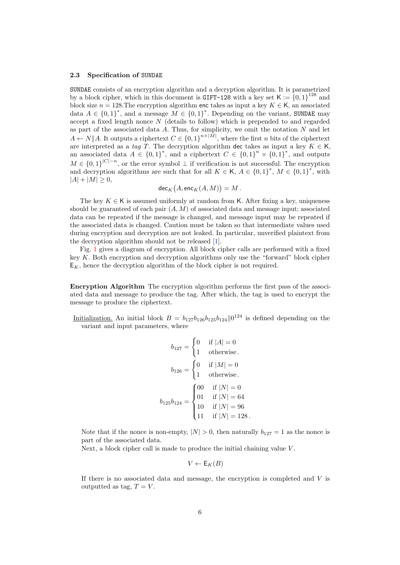#### <span id="page-5-0"></span>2.3 Specification of SUNDAE

SUNDAE consists of an encryption algorithm and a decryption algorithm. It is parametrized by a block cipher, which in this document is GIFT-128 with a key set  $\mathsf{K} := \{0,1\}^{128}$  and block size  $n = 128$ . The encryption algorithm enc takes as input a key  $K \in \mathsf{K}$ , an associated data  $A \in \{0,1\}^*$ , and a message  $M \in \{0,1\}^*$ . Depending on the variant, SUNDAE may accept a fixed length nonce  $N$  (details to follow) which is prepended to and regarded as part of the associated data  $A$ . Thus, for simplicity, we omit the notation  $N$  and let  $A \leftarrow N||A$ . It outputs a ciphertext  $C \in \{0,1\}^{n+|M|}$ , where the first n bits of the ciphertext are interpreted as a tag T. The decryption algorithm dec takes as input a key  $K \in \mathsf{K}$ , an associated data  $A \in \{0,1\}^*$ , and a ciphertext  $C \in \{0,1\}^n \times \{0,1\}^*$ , and outputs  $M \in \{0,1\}^{|C|-n}$ , or the error symbol  $\perp$  if verification is not successful. The encryption and decryption algorithms are such that for all  $K \in K$ ,  $A \in \{0,1\}^*$ ,  $M \in \{0,1\}^*$ , with  $|A| + |M| \geq 0,$ 

$$
\mathsf{dec}_K\big(A,\mathsf{enc}_K(A,M)\big)=M\,.
$$

The key  $K \in \mathsf{K}$  is assumed uniformly at random from K. After fixing a key, uniqueness should be guaranteed of each pair  $(A, M)$  of associated data and message input; associated data can be repeated if the message is changed, and message input may be repeated if the associated data is changed. Caution must be taken so that intermediate values used during encryption and decryption are not leaked. In particular, unverified plaintext from the decryption algorithm should not be released [\[1\]](#page-19-5).

Fig. [1](#page-8-0) gives a diagram of encryption. All block cipher calls are performed with a fixed key  $K$ . Both encryption and decryption algorithms only use the "forward" block cipher  $E_K$ , hence the decryption algorithm of the block cipher is not required.

Encryption Algorithm The encryption algorithm performs the first pass of the associated data and message to produce the tag. After which, the tag is used to encrypt the message to produce the ciphertext.

Initialization. An initial block  $B = b_{127}b_{126}b_{125}b_{124}||0^{124}$  is defined depending on the variant and input parameters, where

$$
b_{127} = \begin{cases} 0 & \text{if } |A| = 0\\ 1 & \text{otherwise} \end{cases}
$$

$$
b_{126} = \begin{cases} 0 & \text{if } |M| = 0\\ 1 & \text{otherwise} \end{cases}
$$

$$
b_{125}b_{124} = \begin{cases} 00 & \text{if } |N| = 0\\ 01 & \text{if } |N| = 64\\ 10 & \text{if } |N| = 96\\ 11 & \text{if } |N| = 128 \end{cases}
$$

Note that if the nonce is non-empty,  $|N| > 0$ , then naturally  $b_{127} = 1$  as the nonce is part of the associated data.

Next, a block cipher call is made to produce the initial chaining value V.

$$
V \leftarrow \mathsf{E}_K(B)
$$

If there is no associated data and message, the encryption is completed and  $V$  is outputted as tag,  $T = V$ .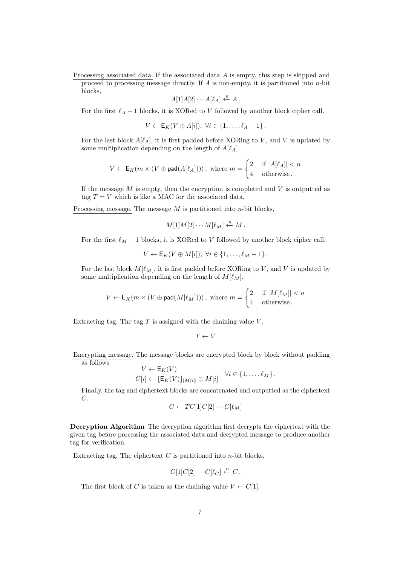Processing associated data. If the associated data A is empty, this step is skipped and proceed to processing message directly. If  $A$  is non-empty, it is partitioned into  $n$ -bit blocks,

$$
A[1]A[2]\cdots A[\ell_A] \stackrel{n}{\leftarrow} A.
$$

For the first  $\ell_A - 1$  blocks, it is XORed to V followed by another block cipher call.

$$
V \leftarrow \mathsf{E}_K(V \oplus A[i]), \ \forall i \in \{1, \ldots, \ell_A - 1\}.
$$

For the last block  $A[\ell_A]$ , it is first padded before XORing to V, and V is updated by some multiplication depending on the length of  $A[\ell_A]$ .

$$
V \leftarrow \mathsf{E}_K(m \times (V \oplus \mathsf{pad}(A[\ell_A]))) \text{, where } m = \begin{cases} 2 & \text{if } |A[\ell_A]| < n \\ 4 & \text{otherwise.} \end{cases}
$$

If the message  $M$  is empty, then the encryption is completed and  $V$  is outputted as tag  $T = V$  which is like a MAC for the associated data.

Processing message. The message  $M$  is partitioned into  $n$ -bit blocks,

$$
M[1]M[2]\cdots M[\ell_M]\stackrel{n}{\leftarrow} M.
$$

For the first  $\ell_M - 1$  blocks, it is XORed to V followed by another block cipher call.

$$
V \leftarrow \mathsf{E}_K(V \oplus M[i]), \ \forall i \in \{1, \ldots, \ell_M - 1\}.
$$

For the last block  $M[\ell_M]$ , it is first padded before XORing to V, and V is updated by some multiplication depending on the length of  $M[\ell_M]$ .

$$
V \leftarrow \mathsf{E}_K(m \times (V \oplus \mathsf{pad}(M[\ell_M]))) \text{, where } m = \begin{cases} 2 & \text{if } |M[\ell_M]| < n \\ 4 & \text{otherwise.} \end{cases}
$$

Extracting tag. The tag  $T$  is assigned with the chaining value  $V$ .

$$
T \leftarrow V
$$

Encrypting message. The message blocks are encrypted block by block without padding as follows

$$
V \leftarrow \mathsf{E}_K(V)
$$
  

$$
C[i] \leftarrow [\mathsf{E}_K(V)]_{|M[i]|} \oplus M[i] \quad \forall i \in \{1, \dots, \ell_M\}.
$$

Finally, the tag and ciphertext blocks are concatenated and outputted as the ciphertext C.

$$
C \leftarrow TC[1]C[2] \cdots C[\ell_M]
$$

Decryption Algorithm The decryption algorithm first decrypts the ciphertext with the given tag before processing the associated data and decrypted message to produce another tag for verification.

Extracting tag. The ciphertext  $C$  is partitioned into  $n$ -bit blocks,

$$
C[1]C[2]\cdots C[\ell_C] \stackrel{n}{\leftarrow} C.
$$

The first block of C is taken as the chaining value  $V \leftarrow C[1]$ .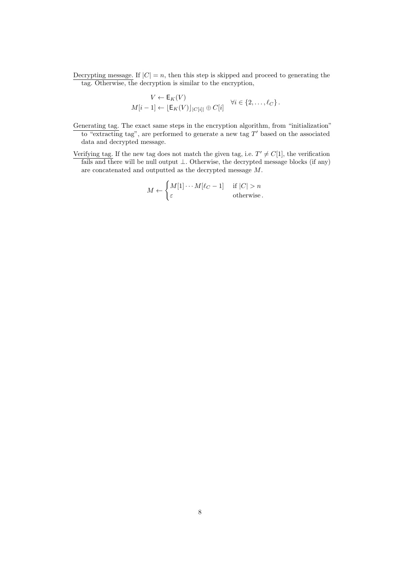Decrypting message. If  $|C| = n$ , then this step is skipped and proceed to generating the tag. Otherwise, the decryption is similar to the encryption,

$$
V \leftarrow \mathsf{E}_K(V)
$$
  

$$
M[i-1] \leftarrow [\mathsf{E}_K(V)]_{|C[i]|} \oplus C[i] \quad \forall i \in \{2,\ldots,\ell_C\}.
$$

- Generating tag. The exact same steps in the encryption algorithm, from "initialization" to "extracting tag", are performed to generate a new tag  $T'$  based on the associated data and decrypted message.
- Verifying tag. If the new tag does not match the given tag, i.e.  $T' \neq C[1]$ , the verification fails and there will be null output  $\bot$ . Otherwise, the decrypted message blocks (if any) are concatenated and outputted as the decrypted message M.

$$
M \leftarrow \begin{cases} M[1] \cdots M[\ell_C - 1] & \text{if } |C| > n \\ \varepsilon & \text{otherwise} \end{cases}
$$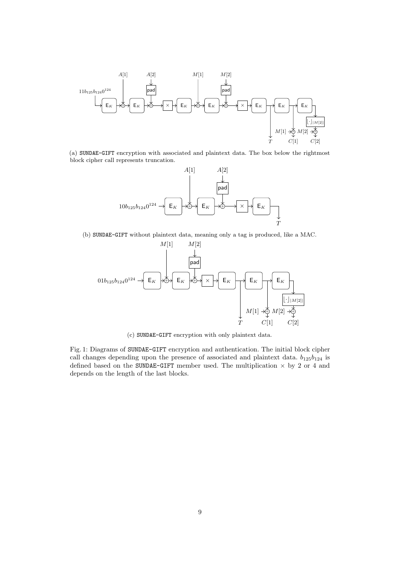<span id="page-8-0"></span>

(a) SUNDAE-GIFT encryption with associated and plaintext data. The box below the rightmost block cipher call represents truncation.



(b) SUNDAE-GIFT without plaintext data, meaning only a tag is produced, like a MAC.



(c) SUNDAE-GIFT encryption with only plaintext data.

Fig. 1: Diagrams of SUNDAE-GIFT encryption and authentication. The initial block cipher call changes depending upon the presence of associated and plaintext data.  $b_{125}b_{124}$  is defined based on the SUNDAE-GIFT member used. The multiplication  $\times$  by 2 or 4 and depends on the length of the last blocks.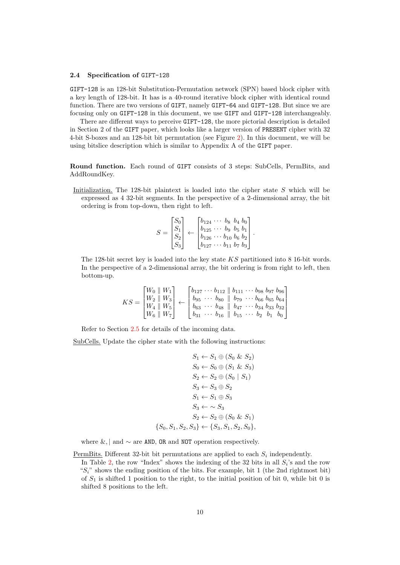#### <span id="page-9-0"></span>2.4 Specification of GIFT-128

GIFT-128 is an 128-bit Substitution-Permutation network (SPN) based block cipher with a key length of 128-bit. It has is a 40-round iterative block cipher with identical round function. There are two versions of GIFT, namely GIFT-64 and GIFT-128. But since we are focusing only on GIFT-128 in this document, we use GIFT and GIFT-128 interchangeably.

There are different ways to perceive GIFT-128, the more pictorial description is detailed in Section 2 of the GIFT paper, which looks like a larger version of PRESENT cipher with 32 4-bit S-boxes and an 128-bit bit permutation (see Figure [2\)](#page-12-0). In this document, we will be using bitslice description which is similar to Appendix A of the GIFT paper.

Round function. Each round of GIFT consists of 3 steps: SubCells, PermBits, and AddRoundKey.

Initialization. The 128-bit plaintext is loaded into the cipher state S which will be expressed as 4 32-bit segments. In the perspective of a 2-dimensional array, the bit ordering is from top-down, then right to left.

$$
S = \begin{bmatrix} S_0 \\ S_1 \\ S_2 \\ S_3 \end{bmatrix} \leftarrow \begin{bmatrix} b_{124} & \cdots & b_8 & b_4 & b_0 \\ b_{125} & \cdots & b_9 & b_5 & b_1 \\ b_{126} & \cdots & b_{10} & b_6 & b_2 \\ b_{127} & \cdots & b_{11} & b_7 & b_3 \end{bmatrix}.
$$

The 128-bit secret key is loaded into the key state KS partitioned into 8 16-bit words. In the perspective of a 2-dimensional array, the bit ordering is from right to left, then bottom-up.

$$
KS = \begin{bmatrix} W_0 & W_1 \\ W_2 & W_3 \\ W_4 & W_5 \\ W_6 & W_7 \end{bmatrix} \leftarrow \begin{bmatrix} b_{127} & \cdots & b_{112} & \| & b_{111} & \cdots & b_{98} & b_{97} & b_{96} \\ b_{95} & \cdots & b_{80} & \| & b_{79} & \cdots & b_{66} & b_{65} & b_{64} \\ b_{63} & \cdots & b_{48} & \| & b_{47} & \cdots & b_{34} & b_{33} & b_{32} \\ b_{31} & \cdots & b_{16} & \| & b_{15} & \cdots & b_{2} & b_{1} & b_{0} \end{bmatrix}
$$

Refer to Section [2.5](#page-11-0) for details of the incoming data.

SubCells. Update the cipher state with the following instructions:

$$
S_1 \leftarrow S_1 \oplus (S_0 \& S_2)
$$
\n
$$
S_0 \leftarrow S_0 \oplus (S_1 \& S_3)
$$
\n
$$
S_2 \leftarrow S_2 \oplus (S_0 \mid S_1)
$$
\n
$$
S_3 \leftarrow S_3 \oplus S_2
$$
\n
$$
S_1 \leftarrow S_1 \oplus S_3
$$
\n
$$
S_3 \leftarrow S_3
$$
\n
$$
S_2 \leftarrow S_2 \oplus (S_0 \& S_1)
$$
\n
$$
\{S_0, S_1, S_2, S_3\} \leftarrow \{S_3, S_1, S_2, S_0\},
$$

where  $\&$ , | and  $\sim$  are AND, OR and NOT operation respectively.

shifted 8 positions to the left.

PermBits. Different 32-bit bit permutations are applied to each  $S_i$  independently. In Table [2,](#page-10-0) the row "Index" shows the indexing of the 32 bits in all  $S_i$ 's and the row " $S_i$ " shows the ending position of the bits. For example, bit 1 (the 2nd rightmost bit) of  $S_1$  is shifted 1 position to the right, to the initial position of bit 0, while bit 0 is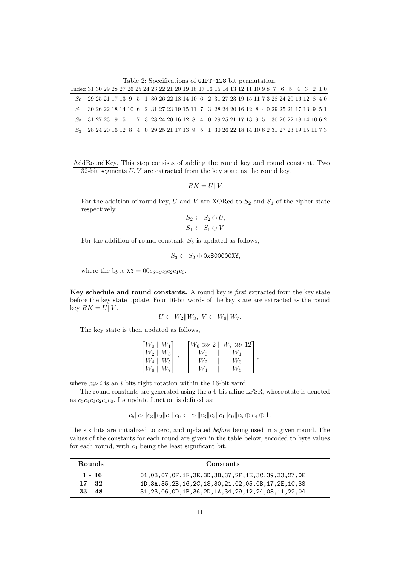Table 2: Specifications of GIFT-128 bit permutation.

<span id="page-10-0"></span>

| Index 31 30 29 28 27 26 25 24 23 22 21 20 19 18 17 16 15 14 13 12 11 10 9 8 7 6 5 4 3 2 1 0                                                                        |  |  |  |  |  |  |  |  |  |  |  |  |  |  |  |                                                                                       |
|--------------------------------------------------------------------------------------------------------------------------------------------------------------------|--|--|--|--|--|--|--|--|--|--|--|--|--|--|--|---------------------------------------------------------------------------------------|
| $S_0$ 29 25 21 17 13 9 5 1 30 26 22 18 14 10 6 2 31 27 23 19 15 11 7 3 28 24 20 16 12 8 4 0                                                                        |  |  |  |  |  |  |  |  |  |  |  |  |  |  |  |                                                                                       |
|                                                                                                                                                                    |  |  |  |  |  |  |  |  |  |  |  |  |  |  |  | 30 26 22 18 14 10 6 2 31 27 23 19 15 11 7 3 28 24 20 16 12 8 4 0 29 25 21 17 13 9 5 1 |
| $S_2 \quad 31\;27\;23\;19\;15\;11\; \ 7 \quad 3\; \;28\;24\;20\;16\;12\; \ 8 \quad 4 \quad 0\; \;29\;25\;21\;17\;13\; \ 9 \; \ 5\;1\;30\;26\;22\;18\;14\;10\;6\;2$ |  |  |  |  |  |  |  |  |  |  |  |  |  |  |  |                                                                                       |
| $S_3$ 28 24 20 16 12 8 4 0 29 25 21 17 13 9 5 1 30 26 22 18 14 10 6 2 31 27 23 19 15 11 7 3                                                                        |  |  |  |  |  |  |  |  |  |  |  |  |  |  |  |                                                                                       |

AddRoundKey. This step consists of adding the round key and round constant. Two 32-bit segments  $U, V$  are extracted from the key state as the round key.

$$
RK = U||V.
$$

For the addition of round key, U and V are XORed to  $S_2$  and  $S_1$  of the cipher state respectively.

$$
S_2 \leftarrow S_2 \oplus U,
$$
  

$$
S_1 \leftarrow S_1 \oplus V.
$$

For the addition of round constant,  $S_3$  is updated as follows,

 $S_3 \leftarrow S_3 \oplus 0$ x800000XY,

where the byte  $XY = 00c_5c_4c_3c_2c_1c_0$ .

Key schedule and round constants. A round key is *first* extracted from the key state before the key state update. Four 16-bit words of the key state are extracted as the round key  $RK = U||V$ .

$$
U \leftarrow W_2 \| W_3, \ V \leftarrow W_6 \| W_7.
$$

The key state is then updated as follows,

| $\lceil W_0 \rceil  W_1\rceil$                                |                | $\lceil W_6 \ggg 2 \rceil W_7 \ggg 12 \rceil$ |  |
|---------------------------------------------------------------|----------------|-----------------------------------------------|--|
| $\mid W_2 \mid \mid W_3 \mid$                                 | Wo             | W1                                            |  |
| $\left  \overline{W_4} \right  \left  \overline{W_5} \right $ | W <sub>2</sub> | $W_3$                                         |  |
| $\mid W_6 \parallel W_7 \mid$                                 | Wл             |                                               |  |

where  $\gg$  i is an i bits right rotation within the 16-bit word.

The round constants are generated using the a 6-bit affine LFSR, whose state is denoted as  $c_5c_4c_3c_2c_1c_0$ . Its update function is defined as:

 $c_5||c_4||c_3||c_2||c_1||c_0 \leftarrow c_4||c_3||c_2||c_1||c_0||c_5 \oplus c_4 \oplus 1.$ 

The six bits are initialized to zero, and updated before being used in a given round. The values of the constants for each round are given in the table below, encoded to byte values for each round, with  $c_0$  being the least significant bit.

| <b>Rounds</b>          | Constants                                                      |
|------------------------|----------------------------------------------------------------|
| 1 - 16                 | 01, 03, 07, 0F, 1F, 3E, 3D, 3B, 37, 2F, 1E, 3C, 39, 33, 27, 0E |
| $17 - 32$<br>$33 - 48$ | 1D, 3A, 35, 2B, 16, 2C, 18, 30, 21, 02, 05, 0B, 17, 2E, 1C, 38 |
|                        | 31, 23, 06, 0D, 1B, 36, 2D, 1A, 34, 29, 12, 24, 08, 11, 22, 04 |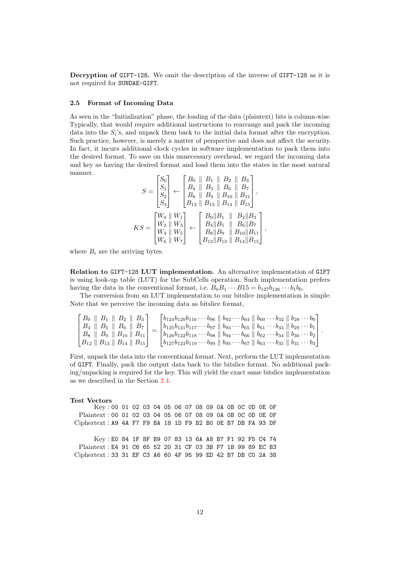Decryption of GIFT-128. We omit the description of the inverse of GIFT-128 as it is not required for SUNDAE-GIFT.

#### <span id="page-11-0"></span>2.5 Format of Incoming Data

As seen in the "Initialization" phase, the loading of the data (plaintext) bits is column-wise. Typically, that would require additional instructions to rearrange and pack the incoming data into the  $S_i$ 's, and unpack them back to the initial data format after the encryption. Such practice, however, is merely a matter of perspective and does not affect the security. In fact, it incurs additional clock cycles in software implementation to pack them into the desired format. To save on this unnecessary overhead, we regard the incoming data and key as having the desired format and load them into the states in the most natural manner.

$$
S = \begin{bmatrix} S_0 \\ S_1 \\ S_2 \\ S_3 \end{bmatrix} \leftarrow \begin{bmatrix} B_0 & \| & B_1 & \| & B_2 & \| & B_3 \\ B_4 & \| & B_5 & \| & B_6 & \| & B_7 \\ B_8 & \| & B_9 & \| & B_{10} & \| & B_{11} \\ B_{12} & \| & B_{13} & \| & B_{14} & \| & B_{15} \end{bmatrix},
$$
  
\n
$$
KS = \begin{bmatrix} W_0 & \| W_1 \\ W_2 & \| W_3 \\ W_4 & \| W_5 \\ W_6 & \| W_7 \end{bmatrix} \leftarrow \begin{bmatrix} B_0 & \| B_1 & \| & B_2 & \| B_3 \\ B_4 & \| B_5 & \| & B_6 & \| B_7 \\ B_8 & \| B_9 & \| & B_{10} & \| B_{11} \\ B_{12} & \| B_{13} & \| & B_{14} & \| B_{15} \end{bmatrix},
$$

where  $B_i$  are the arriving bytes.

Relation to GIFT-128 LUT implementation. An alternative implementation of GIFT is using look-up table (LUT) for the SubCells operation. Such implementation prefers having the data in the conventional format, i.e.  $B_0B_1 \cdots B_{15} = b_{127}b_{126} \cdots b_1b_0$ .

The conversion from an LUT implementation to our bitslice implementation is simple: Note that we perceive the incoming data as bitslice format,

| $B_0 \parallel B_1 \parallel B_2 \parallel B_3$                      | $\lceil b_{124}b_{120}b_{116}\cdots b_{96}\parallel b_{92}\cdots b_{64}\parallel b_{60}\cdots b_{32}\parallel b_{28}\cdots b_{0}\rceil$       |  |
|----------------------------------------------------------------------|-----------------------------------------------------------------------------------------------------------------------------------------------|--|
| $B_4 \parallel B_5 \parallel B_6 \parallel B_7$                      | $\ b_{125}b_{121}b_{117}\cdots b_{97}\ b_{93}\cdots b_{65}\ b_{61}\cdots b_{33}\ b_{29}\cdots b_{1}$                                          |  |
| $B_8 \parallel B_9 \parallel B_{10} \parallel B_{11}$                | $\mid b_{126}b_{122}b_{118}\cdots b_{98}\parallel b_{94}\cdots b_{66}\parallel b_{62}\cdots b_{34}\parallel b_{30}\cdots b_{2}$               |  |
| $\mid B_{12} \parallel B_{13} \parallel B_{14} \parallel B_{15}\mid$ | $\lfloor b_{127}b_{123}b_{119}\cdots b_{99} \parallel b_{95}\cdots b_{67} \parallel b_{63}\cdots b_{35} \parallel b_{31}\cdots b_{3} \rfloor$ |  |

First, unpack the data into the conventional format. Next, perform the LUT implementation of GIFT. Finally, pack the output data back to the bitslice format. No additional packing/unpacking is required for the key. This will yield the exact same bitslice implementation as we described in the Section [2.4.](#page-9-0)

#### Test Vectors

Key : 00 01 02 03 04 05 06 07 08 09 0A 0B 0C 0D 0E 0F Plaintext : 00 01 02 03 04 05 06 07 08 09 0A 0B 0C 0D 0E 0F Ciphertext : A9 4A F7 F9 BA 18 1D F9 B2 B0 0E B7 DB FA 93 DF Key : E0 84 1F 8F B9 07 83 13 6A A8 B7 F1 92 F5 C4 74 Plaintext : E4 91 C6 65 52 20 31 CF 03 3B F7 1B 99 89 EC B3 Ciphertext : 33 31 EF C3 A6 60 4F 95 99 ED 42 B7 DB C0 2A 38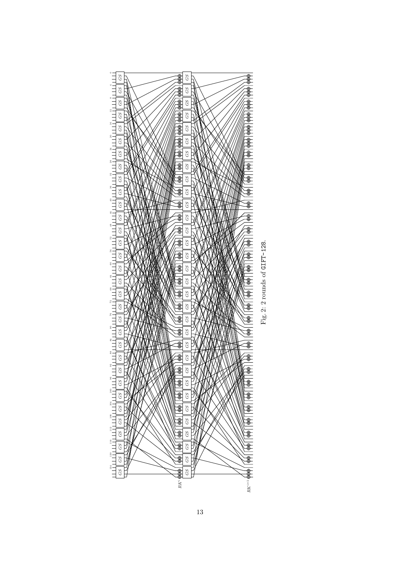<span id="page-12-0"></span>

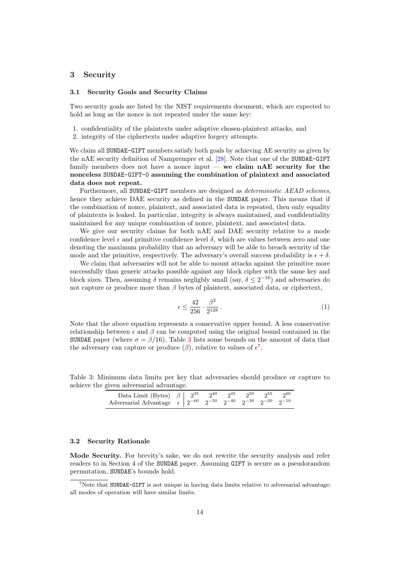#### <span id="page-13-0"></span>3 Security

#### <span id="page-13-1"></span>3.1 Security Goals and Security Claims

Two security goals are listed by the NIST requirements document, which are expected to hold as long as the nonce is not repeated under the same key:

- 1. confidentiality of the plaintexts under adaptive chosen-plaintext attacks, and
- 2. integrity of the ciphertexts under adaptive forgery attempts.

We claim all SUNDAE-GIFT members satisfy both goals by achieving AE security as given by the nAE security definition of Namprempre et al. [\[28\]](#page-21-2). Note that one of the SUNDAE-GIFT family members does not have a nonce input — we claim  $nAE$  security for the nonceless SUNDAE-GIFT-0 assuming the combination of plaintext and associated data does not repeat.

Furthermore, all SUNDAE-GIFT members are designed as *deterministic AEAD schemes*, hence they achieve DAE security as defined in the SUNDAE paper. This means that if the combination of nonce, plaintext, and associated data is repeated, then only equality of plaintexts is leaked. In particular, integrity is always maintained, and confidentiality maintained for any unique combination of nonce, plaintext, and associated data.

We give our security claims for both nAE and DAE security relative to a mode confidence level  $\epsilon$  and primitive confidence level  $\delta$ , which are values between zero and one denoting the maximum probability that an adversary will be able to breach security of the mode and the primitive, respectively. The adversary's overall success probability is  $\epsilon + \delta$ .

We claim that adversaries will not be able to mount attacks against the primitive more successfully than generic attacks possible against any block cipher with the same key and block sizes. Then, assuming  $\delta$  remains negligbly small (say,  $\delta \leq 2^{-16}$ ) and adversaries do not capture or produce more than  $\beta$  bytes of plaintext, associated data, or ciphertext,

$$
\epsilon \le \frac{42}{256} \cdot \frac{\beta^2}{2^{128}} \,. \tag{1}
$$

Note that the above equation represents a conservative upper bound. A less conservative relationship between  $\epsilon$  and  $\beta$  can be computed using the original bound contained in the SUNDAE paper (where  $\sigma = \beta/16$ ). Table [3](#page-13-3) lists some bounds on the amount of data that the adversary can capture or produce  $(\beta)$ , relative to values of  $\epsilon^7$  $\epsilon^7$ .

<span id="page-13-3"></span>Table 3: Minimum data limits per key that adversaries should produce or capture to achieve the given adversarial advantage.

| Data Limit (Bytes) $\beta$ $2^{35}$ $2^{40}$ $2^{45}$ $2^{50}$ $2^{55}$ $2^{60}$<br>Adversarial Advantage $\epsilon$ $2^{-60}$ $2^{-50}$ $2^{-40}$ $2^{-30}$ $2^{-20}$ $2^{-10}$ |  |  |  |  |
|----------------------------------------------------------------------------------------------------------------------------------------------------------------------------------|--|--|--|--|

#### <span id="page-13-2"></span>3.2 Security Rationale

Mode Security. For brevity's sake, we do not rewrite the security analysis and refer readers to in Section 4 of the SUNDAE paper. Assuming GIFT is secure as a pseudorandom permutation, SUNDAE's bounds hold.

<span id="page-13-4"></span> $7$ Note that SUNDAE-GIFT is not unique in having data limits relative to adversarial advantage: all modes of operation will have similar limits.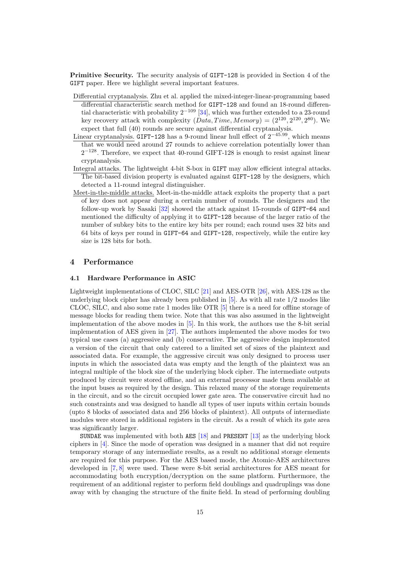Primitive Security. The security analysis of GIFT-128 is provided in Section 4 of the GIFT paper. Here we highlight several important features.

- Differential cryptanalysis. Zhu et al. applied the mixed-integer-linear-programming based differential characteristic search method for GIFT-128 and found an 18-round differential characteristic with probability  $2^{-109}$  [\[34\]](#page-21-3), which was further extended to a 23-round key recovery attack with complexity  $(Data, Time, Memory) = (2^{120}, 2^{120}, 2^{80})$ . We expect that full (40) rounds are secure against differential cryptanalysis.
- Linear cryptanalysis. GIFT-128 has a 9-round linear hull effect of  $2^{-45.99}$ , which means that we would need around 27 rounds to achieve correlation potentially lower than 2<sup>-128</sup>. Therefore, we expect that 40-round GIFT-128 is enough to resist against linear cryptanalysis.
- Integral attacks. The lightweight 4-bit S-box in GIFT may allow efficient integral attacks. The bit-based division property is evaluated against GIFT-128 by the designers, which detected a 11-round integral distinguisher.
- Meet-in-the-middle attacks. Meet-in-the-middle attack exploits the property that a part of key does not appear during a certain number of rounds. The designers and the follow-up work by Sasaki [\[32\]](#page-21-4) showed the attack against 15-rounds of GIFT-64 and mentioned the difficulty of applying it to GIFT-128 because of the larger ratio of the number of subkey bits to the entire key bits per round; each round uses 32 bits and 64 bits of keys per round in GIFT-64 and GIFT-128, respectively, while the entire key size is 128 bits for both.

#### <span id="page-14-0"></span>4 Performance

#### <span id="page-14-1"></span>4.1 Hardware Performance in ASIC

Lightweight implementations of CLOC, SILC [\[21\]](#page-20-3) and AES-OTR [\[26\]](#page-21-5), with AES-128 as the underlying block cipher has already been published in  $[5]$ . As with all rate  $1/2$  modes like CLOC, SILC, and also some rate 1 modes like OTR [\[5\]](#page-19-6) there is a need for offline storage of message blocks for reading them twice. Note that this was also assumed in the lightweight implementation of the above modes in [\[5\]](#page-19-6). In this work, the authors use the 8-bit serial implementation of AES given in [\[27\]](#page-21-6). The authors implemented the above modes for two typical use cases (a) aggressive and (b) conservative. The aggressive design implemented a version of the circuit that only catered to a limited set of sizes of the plaintext and associated data. For example, the aggressive circuit was only designed to process user inputs in which the associated data was empty and the length of the plaintext was an integral multiple of the block size of the underlying block cipher. The intermediate outputs produced by circuit were stored offline, and an external processor made them available at the input buses as required by the design. This relaxed many of the storage requirements in the circuit, and so the circuit occupied lower gate area. The conservative circuit had no such constraints and was designed to handle all types of user inputs within certain bounds (upto 8 blocks of associated data and 256 blocks of plaintext). All outputs of intermediate modules were stored in additional registers in the circuit. As a result of which its gate area was significantly larger.

SUNDAE was implemented with both AES [\[18\]](#page-20-9) and PRESENT [\[13\]](#page-20-10) as the underlying block ciphers in [\[4\]](#page-19-2). Since the mode of operation was designed in a manner that did not require temporary storage of any intermediate results, as a result no additional storage elements are required for this purpose. For the AES based mode, the Atomic-AES architectures developed in [\[7,](#page-19-7) [8\]](#page-19-8) were used. These were 8-bit serial architectures for AES meant for accommodating both encryption/decryption on the same platform. Furthermore, the requirement of an additional register to perform field doublings and quadruplings was done away with by changing the structure of the finite field. In stead of performing doubling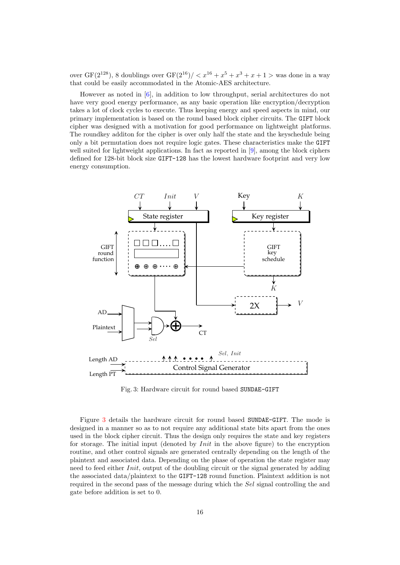over GF(2<sup>128</sup>), 8 doublings over GF(2<sup>16</sup>)/  $\langle x^{16} + x^5 + x^3 + x + 1 \rangle$  was done in a way that could be easily accommodated in the Atomic-AES architecture.

However as noted in [\[6\]](#page-19-9), in addition to low throughput, serial architectures do not have very good energy performance, as any basic operation like encryption/decryption takes a lot of clock cycles to execute. Thus keeping energy and speed aspects in mind, our primary implementation is based on the round based block cipher circuits. The GIFT block cipher was designed with a motivation for good performance on lightweight platforms. The roundkey additon for the cipher is over only half the state and the keyschedule being only a bit permutation does not require logic gates. These characteristics make the GIFT well suited for lightweight applications. In fact as reported in [\[9\]](#page-19-3), among the block ciphers defined for 128-bit block size GIFT-128 has the lowest hardware footprint and very low energy consumption.

<span id="page-15-0"></span>

Fig. 3: Hardware circuit for round based SUNDAE-GIFT

Figure [3](#page-15-0) details the hardware circuit for round based SUNDAE-GIFT. The mode is designed in a manner so as to not require any additional state bits apart from the ones used in the block cipher circuit. Thus the design only requires the state and key registers for storage. The initial input (denoted by  $Init$  in the above figure) to the encryption routine, and other control signals are generated centrally depending on the length of the plaintext and associated data. Depending on the phase of operation the state register may need to feed either Init, output of the doubling circuit or the signal generated by adding the associated data/plaintext to the GIFT-128 round function. Plaintext addition is not required in the second pass of the message during which the Sel signal controlling the and gate before addition is set to 0.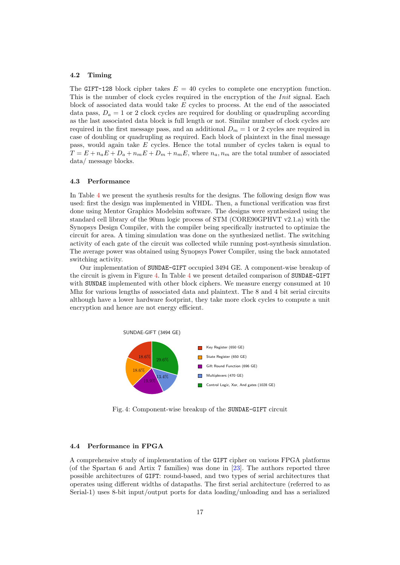#### <span id="page-16-0"></span>4.2 Timing

The GIFT-128 block cipher takes  $E = 40$  cycles to complete one encryption function. This is the number of clock cycles required in the encryption of the *Init* signal. Each block of associated data would take E cycles to process. At the end of the associated data pass,  $D_a = 1$  or 2 clock cycles are required for doubling or quadrupling according as the last associated data block is full length or not. Similar number of clock cycles are required in the first message pass, and an additional  $D_m = 1$  or 2 cycles are required in case of doubling or quadrupling as required. Each block of plaintext in the final message pass, would again take E cycles. Hence the total number of cycles taken is equal to  $T = E + n_a E + D_a + n_m E + D_m + n_m E$ , where  $n_a, n_m$  are the total number of associated data/ message blocks.

#### <span id="page-16-1"></span>4.3 Performance

In Table [4](#page-17-1) we present the synthesis results for the designs. The following design flow was used: first the design was implemented in VHDL. Then, a functional verification was first done using Mentor Graphics Modelsim software. The designs were synthesized using the standard cell library of the 90nm logic process of STM (CORE90GPHVT v2.1.a) with the Synopsys Design Compiler, with the compiler being specifically instructed to optimize the circuit for area. A timing simulation was done on the synthesized netlist. The switching activity of each gate of the circuit was collected while running post-synthesis simulation. The average power was obtained using Synopsys Power Compiler, using the back annotated switching activity.

Our implementation of SUNDAE-GIFT occupied 3494 GE. A component-wise breakup of the circuit is givem in Figure [4.](#page-16-3) In Table [4](#page-17-1) we present detailed comparison of SUNDAE-GIFT with SUNDAE implemented with other block ciphers. We measure energy consumed at 10 Mhz for various lengths of associated data and plaintext. The 8 and 4 bit serial circuits although have a lower hardware footprint, they take more clock cycles to compute a unit encryption and hence are not energy efficient.

<span id="page-16-3"></span>

Fig. 4: Component-wise breakup of the SUNDAE-GIFT circuit

#### <span id="page-16-2"></span>4.4 Performance in FPGA

A comprehensive study of implementation of the GIFT cipher on various FPGA platforms (of the Spartan 6 and Artix 7 families) was done in [\[23\]](#page-20-11). The authors reported three possible architectures of GIFT: round-based, and two types of serial architectures that operates using different widths of datapaths. The first serial architecture (referred to as Serial-1) uses 8-bit input/output ports for data loading/unloading and has a serialized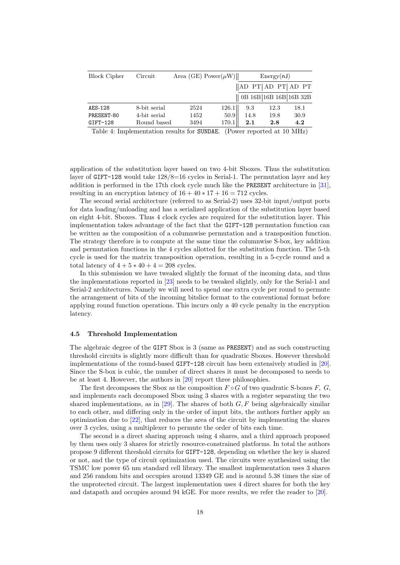<span id="page-17-1"></span>

| <b>Block Cipher</b> | Circuit      | Area (GE) Power $(\mu W)$                  |       |                                                       | Energy(nJ) |                                  |  |  |  |
|---------------------|--------------|--------------------------------------------|-------|-------------------------------------------------------|------------|----------------------------------|--|--|--|
|                     |              |                                            |       |                                                       |            | $\ $ AD PT $\ $ AD PT $\ $ AD PT |  |  |  |
|                     |              |                                            |       |                                                       |            | 0B 16B 16B 16B 16B 32B           |  |  |  |
| AES-128             | 8-bit serial | 2524                                       | 126.1 | 9.3                                                   | 12.3       | 18.1                             |  |  |  |
| PRESENT-80          | 4-bit serial | 1452                                       | 50.9  | 14.8                                                  | 19.8       | 30.9                             |  |  |  |
| $GIFT-128$          | Round based  | 3494                                       | 170.1 | 2.1                                                   | 2.8        | 4.2                              |  |  |  |
|                     |              | Table 4. Implementation regults for CIMDAR |       | $(D_{\text{out}} \text{ momentad } + 10 \text{ MHz})$ |            |                                  |  |  |  |

Table 4: Implementation results for SUNDAE. (Power reported at 10 MHz)

application of the substitution layer based on two 4-bit Sboxes. Thus the substitution layer of GIFT-128 would take 128/8=16 cycles in Serial-1. The permutation layer and key addition is performed in the 17th clock cycle much like the PRESENT architecture in [\[31\]](#page-21-7), resulting in an encryption latency of  $16 + 40 * 17 + 16 = 712$  cycles.

The second serial architecture (referred to as Serial-2) uses 32-bit input/output ports for data loading/unloading and has a serialized application of the substitution layer based on eight 4-bit. Sboxes. Thus 4 clock cycles are required for the substitution layer. This implementation takes advantage of the fact that the GIFT-128 permutation function can be written as the composition of a columnwise permutation and a transposition function. The strategy therefore is to compute at the same time the columnwise S-box, key addition and permutation functions in the 4 cycles allotted for the substitution function. The 5-th cycle is used for the matrix transposition operation, resulting in a 5-cycle round and a total latency of  $4 + 5 * 40 + 4 = 208$  cycles.

In this submission we have tweaked slightly the format of the incoming data, and thus the implementations reported in [\[23\]](#page-20-11) needs to be tweaked slightly, only for the Serial-1 and Serial-2 architectures. Namely we will need to spend one extra cycle per round to permute the arrangement of bits of the incoming bitslice format to the conventional format before applying round function operations. This incurs only a 40 cycle penalty in the encryption latency.

#### <span id="page-17-0"></span>4.5 Threshold Implementation

The algebraic degree of the GIFT Sbox is 3 (same as PRESENT) and as such constructing threshold circuits is slightly more difficult than for quadratic Sboxes. However threshold implementations of the round-based GIFT-128 circuit has been extensively studied in [\[20\]](#page-20-12). Since the S-box is cubic, the number of direct shares it must be decomposed to needs to be at least 4. However, the authors in [\[20\]](#page-20-12) report three philosophies.

The first decomposes the Sbox as the composition  $F \circ G$  of two quadratic S-boxes F, G, and implements each decomposed Sbox using 3 shares with a register separating the two shared implementations, as in [\[29\]](#page-21-8). The shares of both  $G, F$  being algebraically similar to each other, and differing only in the order of input bits, the authors further apply an optimization due to [\[22\]](#page-20-13), that reduces the area of the circuit by implementing the shares over 3 cycles, using a multiplexer to permute the order of bits each time.

The second is a direct sharing approach using 4 shares, and a third approach proposed by them uses only 3 shares for strictly resource-constrained platforms. In total the authors propose 9 different threshold circuits for GIFT-128, depending on whether the key is shared or not, and the type of circuit optimization used. The circuits were synthesized using the TSMC low power 65 nm standard cell library. The smallest implementation uses 3 shares and 256 random bits and occupies around 13349 GE and is around 5.38 times the size of the unprotected circuit. The largest implementation uses 4 direct shares for both the key and datapath and occupies around 94 kGE. For more results, we refer the reader to [\[20\]](#page-20-12).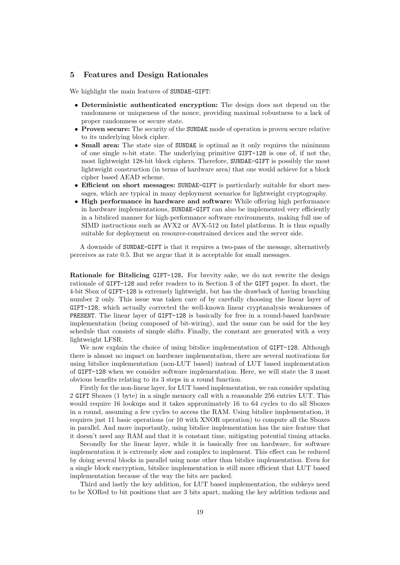#### <span id="page-18-0"></span>5 Features and Design Rationales

We highlight the main features of SUNDAE-GIFT:

- Deterministic authenticated encryption: The design does not depend on the randomness or uniqueness of the nonce, providing maximal robustness to a lack of proper randomness or secure state.
- Proven secure: The security of the SUNDAE mode of operation is proven secure relative to its underlying block cipher.
- **Small area:** The state size of SUNDAE is optimal as it only requires the minimum of one single  $n$ -bit state. The underlying primitive GIFT-128 is one of, if not the, most lightweight 128-bit block ciphers. Therefore, SUNDAE-GIFT is possibly the most lightweight construction (in terms of hardware area) that one would achieve for a block cipher based AEAD scheme.
- Efficient on short messages: SUNDAE-GIFT is particularly suitable for short messages, which are typical in many deployment scenarios for lightweight cryptography.
- High performance in hardware and software: While offering high performance in hardware implementations, SUNDAE-GIFT can also be implemented very efficiently in a bitsliced manner for high-performance software environments, making full use of SIMD instructions such as AVX2 or AVX-512 on Intel platforms. It is thus equally suitable for deployment on resource-constrained devices and the server side.

A downside of SUNDAE-GIFT is that it requires a two-pass of the message, alternatively perceives as rate 0.5. But we argue that it is acceptable for small messages.

Rationale for Bitslicing GIFT-128. For brevity sake, we do not rewrite the design rationale of GIFT-128 and refer readers to in Section 3 of the GIFT paper. In short, the 4-bit Sbox of GIFT-128 is extremely lightweight, but has the drawback of having branching number 2 only. This issue was taken care of by carefully choosing the linear layer of GIFT-128, which actually corrected the well-known linear cryptanalysis weaknesses of PRESENT. The linear layer of GIFT-128 is basically for free in a round-based hardware implementation (being composed of bit-wiring), and the same can be said for the key schedule that consists of simple shifts. Finally, the constant are generated with a very lightweight LFSR.

We now explain the choice of using bitslice implementation of GIFT-128. Although there is almost no impact on hardware implementation, there are several motivations for using bitslice implementation (non-LUT based) instead of LUT based implementation of GIFT-128 when we consider software implementation. Here, we will state the 3 most obvious benefits relating to its 3 steps in a round function.

Firstly for the non-linear layer, for LUT based implementation, we can consider updating 2 GIFT Sboxes (1 byte) in a single memory call with a reasonable 256 entries LUT. This would require 16 lookups and it takes approximately 16 to 64 cycles to do all Sboxes in a round, assuming a few cycles to access the RAM. Using bitslice implementation, it requires just 11 basic operations (or 10 with XNOR operation) to compute all the Sboxes in parallel. And more importantly, using bitslice implementation has the nice feature that it doesn't need any RAM and that it is constant time, mitigating potential timing attacks.

Secondly for the linear layer, while it is basically free on hardware, for software implementation it is extremely slow and complex to implement. This effect can be reduced by doing several blocks in parallel using none other than bitslice implementation. Even for a single block encryption, bitslice implementation is still more efficient that LUT based implementation because of the way the bits are packed.

Third and lastly the key addition, for LUT based implementation, the subkeys need to be XORed to bit positions that are 3 bits apart, making the key addition tedious and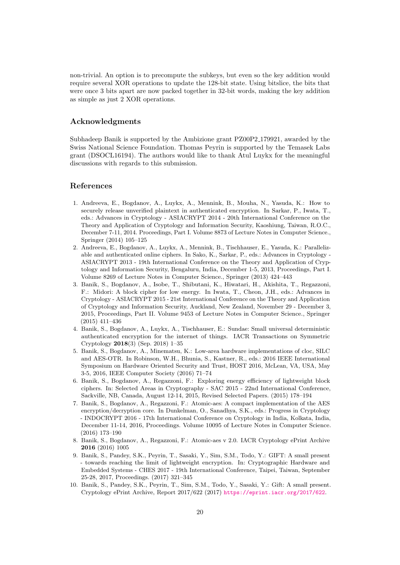non-trivial. An option is to precompute the subkeys, but even so the key addition would require several XOR operations to update the 128-bit state. Using bitslice, the bits that were once 3 bits apart are now packed together in 32-bit words, making the key addition as simple as just 2 XOR operations.

#### Acknowledgments

Subhadeep Banik is supported by the Ambizione grant PZ00P2 179921, awarded by the Swiss National Science Foundation. Thomas Peyrin is supported by the Temasek Labs grant (DSOCL16194). The authors would like to thank Atul Luykx for the meaningful discussions with regards to this submission.

### References

- <span id="page-19-5"></span>1. Andreeva, E., Bogdanov, A., Luykx, A., Mennink, B., Mouha, N., Yasuda, K.: How to securely release unverified plaintext in authenticated encryption. In Sarkar, P., Iwata, T., eds.: Advances in Cryptology - ASIACRYPT 2014 - 20th International Conference on the Theory and Application of Cryptology and Information Security, Kaoshiung, Taiwan, R.O.C., December 7-11, 2014. Proceedings, Part I. Volume 8873 of Lecture Notes in Computer Science., Springer (2014) 105–125
- <span id="page-19-1"></span>2. Andreeva, E., Bogdanov, A., Luykx, A., Mennink, B., Tischhauser, E., Yasuda, K.: Parallelizable and authenticated online ciphers. In Sako, K., Sarkar, P., eds.: Advances in Cryptology - ASIACRYPT 2013 - 19th International Conference on the Theory and Application of Cryptology and Information Security, Bengaluru, India, December 1-5, 2013, Proceedings, Part I. Volume 8269 of Lecture Notes in Computer Science., Springer (2013) 424–443
- <span id="page-19-0"></span>3. Banik, S., Bogdanov, A., Isobe, T., Shibutani, K., Hiwatari, H., Akishita, T., Regazzoni, F.: Midori: A block cipher for low energy. In Iwata, T., Cheon, J.H., eds.: Advances in Cryptology - ASIACRYPT 2015 - 21st International Conference on the Theory and Application of Cryptology and Information Security, Auckland, New Zealand, November 29 - December 3, 2015, Proceedings, Part II. Volume 9453 of Lecture Notes in Computer Science., Springer (2015) 411–436
- <span id="page-19-2"></span>4. Banik, S., Bogdanov, A., Luykx, A., Tischhauser, E.: Sundae: Small universal deterministic authenticated encryption for the internet of things. IACR Transactions on Symmetric Cryptology 2018(3) (Sep. 2018) 1–35
- <span id="page-19-6"></span>5. Banik, S., Bogdanov, A., Minematsu, K.: Low-area hardware implementations of cloc, SILC and AES-OTR. In Robinson, W.H., Bhunia, S., Kastner, R., eds.: 2016 IEEE International Symposium on Hardware Oriented Security and Trust, HOST 2016, McLean, VA, USA, May 3-5, 2016, IEEE Computer Society (2016) 71–74
- <span id="page-19-9"></span>6. Banik, S., Bogdanov, A., Regazzoni, F.: Exploring energy efficiency of lightweight block ciphers. In: Selected Areas in Cryptography - SAC 2015 - 22nd International Conference, Sackville, NB, Canada, August 12-14, 2015, Revised Selected Papers. (2015) 178–194
- <span id="page-19-7"></span>7. Banik, S., Bogdanov, A., Regazzoni, F.: Atomic-aes: A compact implementation of the AES encryption/decryption core. In Dunkelman, O., Sanadhya, S.K., eds.: Progress in Cryptology - INDOCRYPT 2016 - 17th International Conference on Cryptology in India, Kolkata, India, December 11-14, 2016, Proceedings. Volume 10095 of Lecture Notes in Computer Science. (2016) 173–190
- <span id="page-19-8"></span>8. Banik, S., Bogdanov, A., Regazzoni, F.: Atomic-aes v 2.0. IACR Cryptology ePrint Archive 2016 (2016) 1005
- <span id="page-19-3"></span>9. Banik, S., Pandey, S.K., Peyrin, T., Sasaki, Y., Sim, S.M., Todo, Y.: GIFT: A small present - towards reaching the limit of lightweight encryption. In: Cryptographic Hardware and Embedded Systems - CHES 2017 - 19th International Conference, Taipei, Taiwan, September 25-28, 2017, Proceedings. (2017) 321–345
- <span id="page-19-4"></span>10. Banik, S., Pandey, S.K., Peyrin, T., Sim, S.M., Todo, Y., Sasaki, Y.: Gift: A small present. Cryptology ePrint Archive, Report 2017/622 (2017) <https://eprint.iacr.org/2017/622>.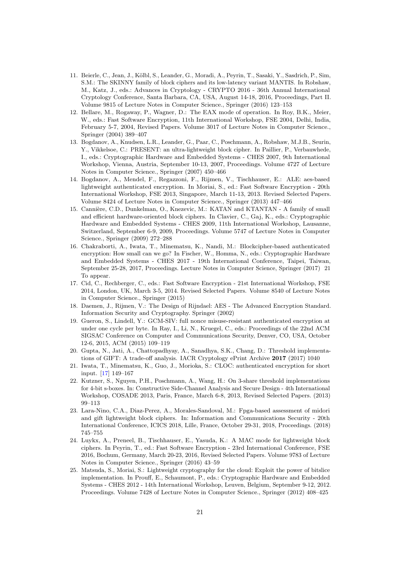- <span id="page-20-0"></span>11. Beierle, C., Jean, J., Kölbl, S., Leander, G., Moradi, A., Peyrin, T., Sasaki, Y., Sasdrich, P., Sim, S.M.: The SKINNY family of block ciphers and its low-latency variant MANTIS. In Robshaw, M., Katz, J., eds.: Advances in Cryptology - CRYPTO 2016 - 36th Annual International Cryptology Conference, Santa Barbara, CA, USA, August 14-18, 2016, Proceedings, Part II. Volume 9815 of Lecture Notes in Computer Science., Springer (2016) 123–153
- <span id="page-20-2"></span>12. Bellare, M., Rogaway, P., Wagner, D.: The EAX mode of operation. In Roy, B.K., Meier, W., eds.: Fast Software Encryption, 11th International Workshop, FSE 2004, Delhi, India, February 5-7, 2004, Revised Papers. Volume 3017 of Lecture Notes in Computer Science., Springer (2004) 389–407
- <span id="page-20-10"></span>13. Bogdanov, A., Knudsen, L.R., Leander, G., Paar, C., Poschmann, A., Robshaw, M.J.B., Seurin, Y., Vikkelsoe, C.: PRESENT: an ultra-lightweight block cipher. In Paillier, P., Verbauwhede, I., eds.: Cryptographic Hardware and Embedded Systems - CHES 2007, 9th International Workshop, Vienna, Austria, September 10-13, 2007, Proceedings. Volume 4727 of Lecture Notes in Computer Science., Springer (2007) 450–466
- <span id="page-20-7"></span>14. Bogdanov, A., Mendel, F., Regazzoni, F., Rijmen, V., Tischhauser, E.: ALE: aes-based lightweight authenticated encryption. In Moriai, S., ed.: Fast Software Encryption - 20th International Workshop, FSE 2013, Singapore, March 11-13, 2013. Revised Selected Papers. Volume 8424 of Lecture Notes in Computer Science., Springer (2013) 447–466
- <span id="page-20-1"></span>15. Cannière, C.D., Dunkelman, O., Knezevic, M.: KATAN and KTANTAN - A family of small and efficient hardware-oriented block ciphers. In Clavier, C., Gaj, K., eds.: Cryptographic Hardware and Embedded Systems - CHES 2009, 11th International Workshop, Lausanne, Switzerland, September 6-9, 2009, Proceedings. Volume 5747 of Lecture Notes in Computer Science., Springer (2009) 272–288
- <span id="page-20-4"></span>16. Chakraborti, A., Iwata, T., Minematsu, K., Nandi, M.: Blockcipher-based authenticated encryption: How small can we go? In Fischer, W., Homma, N., eds.: Cryptographic Hardware and Embedded Systems - CHES 2017 - 19th International Conference, Taipei, Taiwan, September 25-28, 2017, Proceedings. Lecture Notes in Computer Science, Springer (2017) 21 To appear.
- <span id="page-20-14"></span>17. Cid, C., Rechberger, C., eds.: Fast Software Encryption - 21st International Workshop, FSE 2014, London, UK, March 3-5, 2014. Revised Selected Papers. Volume 8540 of Lecture Notes in Computer Science., Springer (2015)
- <span id="page-20-9"></span>18. Daemen, J., Rijmen, V.: The Design of Rijndael: AES - The Advanced Encryption Standard. Information Security and Cryptography. Springer (2002)
- <span id="page-20-5"></span>19. Gueron, S., Lindell, Y.: GCM-SIV: full nonce misuse-resistant authenticated encryption at under one cycle per byte. In Ray, I., Li, N., Kruegel, C., eds.: Proceedings of the 22nd ACM SIGSAC Conference on Computer and Communications Security, Denver, CO, USA, October 12-6, 2015, ACM (2015) 109–119
- <span id="page-20-12"></span>20. Gupta, N., Jati, A., Chattopadhyay, A., Sanadhya, S.K., Chang, D.: Threshold implementations of GIFT: A trade-off analysis. IACR Cryptology ePrint Archive 2017 (2017) 1040
- <span id="page-20-3"></span>21. Iwata, T., Minematsu, K., Guo, J., Morioka, S.: CLOC: authenticated encryption for short input. [\[17\]](#page-20-14) 149–167
- <span id="page-20-13"></span>22. Kutzner, S., Nguyen, P.H., Poschmann, A., Wang, H.: On 3-share threshold implementations for 4-bit s-boxes. In: Constructive Side-Channel Analysis and Secure Design - 4th International Workshop, COSADE 2013, Paris, France, March 6-8, 2013, Revised Selected Papers. (2013) 99–113
- <span id="page-20-11"></span>23. Lara-Nino, C.A., Diaz-Perez, A., Morales-Sandoval, M.: Fpga-based assessment of midori and gift lightweight block ciphers. In: Information and Communications Security - 20th International Conference, ICICS 2018, Lille, France, October 29-31, 2018, Proceedings. (2018) 745–755
- <span id="page-20-8"></span>24. Luykx, A., Preneel, B., Tischhauser, E., Yasuda, K.: A MAC mode for lightweight block ciphers. In Peyrin, T., ed.: Fast Software Encryption - 23rd International Conference, FSE 2016, Bochum, Germany, March 20-23, 2016, Revised Selected Papers. Volume 9783 of Lecture Notes in Computer Science., Springer (2016) 43–59
- <span id="page-20-6"></span>25. Matsuda, S., Moriai, S.: Lightweight cryptography for the cloud: Exploit the power of bitslice implementation. In Prouff, E., Schaumont, P., eds.: Cryptographic Hardware and Embedded Systems - CHES 2012 - 14th International Workshop, Leuven, Belgium, September 9-12, 2012. Proceedings. Volume 7428 of Lecture Notes in Computer Science., Springer (2012) 408–425